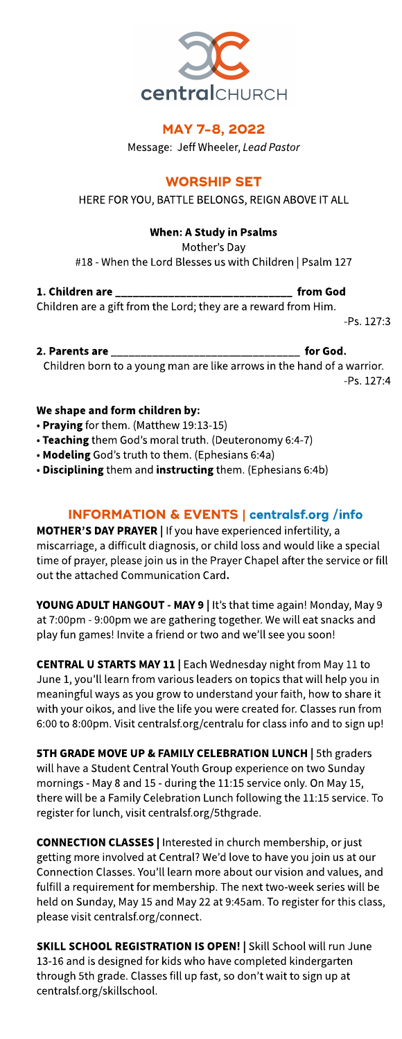

# MAY 7-8, 2022

Message: Jeff Wheeler, Lead Pastor

## **WORSHIP SET**

HERE FOR YOU, BATTLE BELONGS, REIGN ABOVE IT ALL

## When: AStudy in Psalms

Mother's Day

#18 - When the Lord Blesses us with Children | Psalm 127

1. Children are \_\_\_\_\_\_\_\_\_\_\_\_\_\_\_\_\_\_\_\_\_\_\_\_\_\_\_\_\_\_ from God Children are a gift from the Lord; they are a reward from Him.

-Ps. 127:3

2. Parents are \_\_\_\_\_\_\_\_\_\_\_\_\_\_\_\_\_\_\_\_\_\_\_\_\_\_\_\_\_\_\_\_ for God.

Children born to a young man are like arrows in the hand of a warrior.

#### -Ps. 127:4

## We shape and form children by:

- Praying for them. (Matthew 19:13-15)
- Teaching them God's moral truth. (Deuteronomy 6:4-7)
- Modeling God's truth to them. (Ephesians 6:4a)
- Disciplining them and instructing them. (Ephesians 6:4b)

# INFORMATION& EVENTS| **[centralsf.org/info](http://centralsf.org/info)**

MOTHER'S DAY PRAYER | If you have experienced infertility, a miscarriage, a difficult diagnosis, or child loss and would like a special time of prayer, please join us in the Prayer Chapel after the service or fill out the attached Communication Card.

YOUNG ADULT HANGOUT - MAY 9 | It's that time again! Monday, May 9 at 7:00pm - 9:00pm we are gathering together. We will eat snacks and play fun games! Invite a friend or two and we'll see you soon!

CENTRAL U STARTS MAY 11 | Each Wednesday night from May 11 to June 1, you'll learn from various leaders on topics that will help you in meaningful ways as you grow to understand your faith, how to share it with your oikos, and live the life you were created for. Classes run from 6:00 to 8:00pm. Visit centralsf.org/centralu for classinfo and to sign up!

5TH GRADE MOVE UP & FAMILY CELEBRATION LUNCH | 5th graders will have a Student Central Youth Group experience on two Sunday mornings - May 8 and 15 - during the 11:15 service only. On May 15, there will be a Family Celebration Lunch following the 11:15 service. To register for lunch, visit centralsf.org/5thgrade.

CONNECTION CLASSES| Interested in church membership, or just getting more involved at Central? We'd love to have you join us at our Connection Classes. You'll learn more about our vision and values, and fulfill a requirement for membership. The next two-week series will be held on Sunday, May 15 and May 22 at 9:45am. To register for this class, please visit centralsf.org/connect.

SKILL SCHOOL REGISTRATION IS OPEN! | Skill School will run June 13-16 and is designed for kids who have completed kindergarten through 5th grade. Classes fill up fast, so don't wait to sign up at centralsf.org/skillschool.